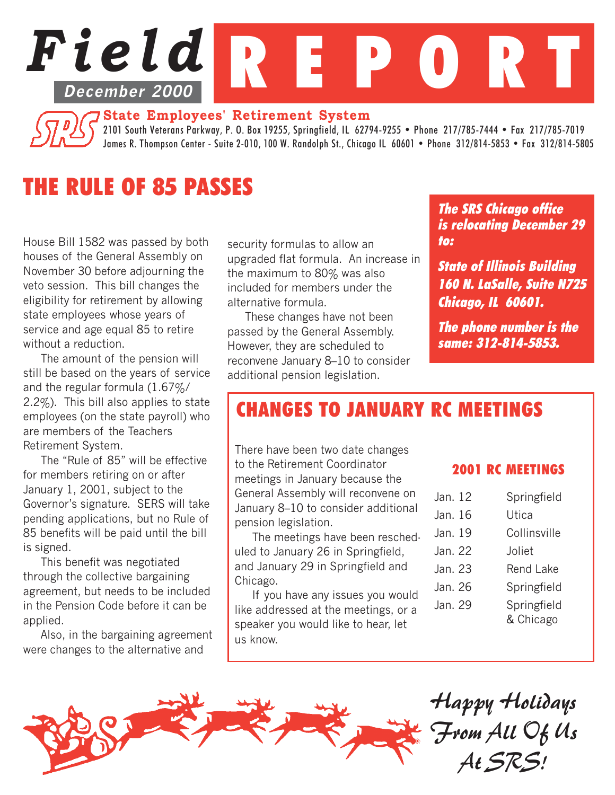

### **State Employees' Retirement System**

2101 South Veterans Parkway, P. O. Box 19255, Springfield, IL 62794-9255 • Phone 217/785-7444 • Fax 217/785-7019 James R. Thompson Center - Suite 2-010, 100 W. Randolph St., Chicago IL 60601 • Phone 312/814-5853 • Fax 312/814-5805

# THE RULE OF 85 PASSES

House Bill 1582 was passed by both houses of the General Assembly on November 30 before adjourning the veto session. This bill changes the eligibility for retirement by allowing state employees whose years of service and age equal 85 to retire without a reduction.

The amount of the pension will still be based on the years of service and the regular formula (1.67%/ 2.2%). This bill also applies to state employees (on the state payroll) who are members of the Teachers Retirement System.

The "Rule of 85" will be effective for members retiring on or after January 1, 2001, subject to the Governor's signature. SERS will take pending applications, but no Rule of 85 benefits will be paid until the bill is signed.

This benefit was negotiated through the collective bargaining agreement, but needs to be included in the Pension Code before it can be applied.

Also, in the bargaining agreement were changes to the alternative and

security formulas to allow an upgraded flat formula. An increase in the maximum to 80% was also included for members under the alternative formula.

These changes have not been passed by the General Assembly. However, they are scheduled to reconvene January 8–10 to consider additional pension legislation.

The SRS Chicago office is relocating December 29 to:

State of Illinois Building 160 N. LaSalle, Suite N725 Chicago, IL 60601.

The phone number is the same: 312-814-5853.

## CHANGES TO JANUARY RC MEETINGS

There have been two date changes to the Retirement Coordinator meetings in January because the General Assembly will reconvene on January 8–10 to consider additional pension legislation.

The meetings have been rescheduled to January 26 in Springfield, and January 29 in Springfield and Chicago.

If you have any issues you would like addressed at the meetings, or a speaker you would like to hear, let us know.

### 2001 RC MEETINGS

| Jan. 12 | Springfield              |
|---------|--------------------------|
| Jan. 16 | Utica                    |
| Jan. 19 | Collinsville             |
| Jan. 22 | Joliet                   |
| Jan. 23 | <b>Rend Lake</b>         |
| Jan. 26 | Springfield              |
| Jan. 29 | Springfield<br>& Chicago |